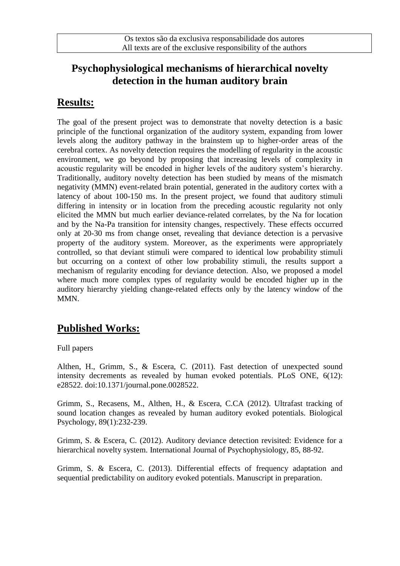### **Psychophysiological mechanisms of hierarchical novelty detection in the human auditory brain**

### **Results:**

The goal of the present project was to demonstrate that novelty detection is a basic principle of the functional organization of the auditory system, expanding from lower levels along the auditory pathway in the brainstem up to higher-order areas of the cerebral cortex. As novelty detection requires the modelling of regularity in the acoustic environment, we go beyond by proposing that increasing levels of complexity in acoustic regularity will be encoded in higher levels of the auditory system's hierarchy. Traditionally, auditory novelty detection has been studied by means of the mismatch negativity (MMN) event-related brain potential, generated in the auditory cortex with a latency of about 100-150 ms. In the present project, we found that auditory stimuli differing in intensity or in location from the preceding acoustic regularity not only elicited the MMN but much earlier deviance-related correlates, by the Na for location and by the Na-Pa transition for intensity changes, respectively. These effects occurred only at 20-30 ms from change onset, revealing that deviance detection is a pervasive property of the auditory system. Moreover, as the experiments were appropriately controlled, so that deviant stimuli were compared to identical low probability stimuli but occurring on a context of other low probability stimuli, the results support a mechanism of regularity encoding for deviance detection. Also, we proposed a model where much more complex types of regularity would be encoded higher up in the auditory hierarchy yielding change-related effects only by the latency window of the MM<sub>N</sub>.

# **Published Works:**

### Full papers

Althen, H., Grimm, S., & Escera, C. (2011). Fast detection of unexpected sound intensity decrements as revealed by human evoked potentials. PLoS ONE, 6(12): e28522. doi:10.1371/journal.pone.0028522.

Grimm, S., Recasens, M., Althen, H., & Escera, C.CA (2012). Ultrafast tracking of sound location changes as revealed by human auditory evoked potentials. Biological Psychology, 89(1):232-239.

Grimm, S. & Escera, C. (2012). Auditory deviance detection revisited: Evidence for a hierarchical novelty system. International Journal of Psychophysiology, 85, 88-92.

Grimm, S. & Escera, C. (2013). Differential effects of frequency adaptation and sequential predictability on auditory evoked potentials. Manuscript in preparation.